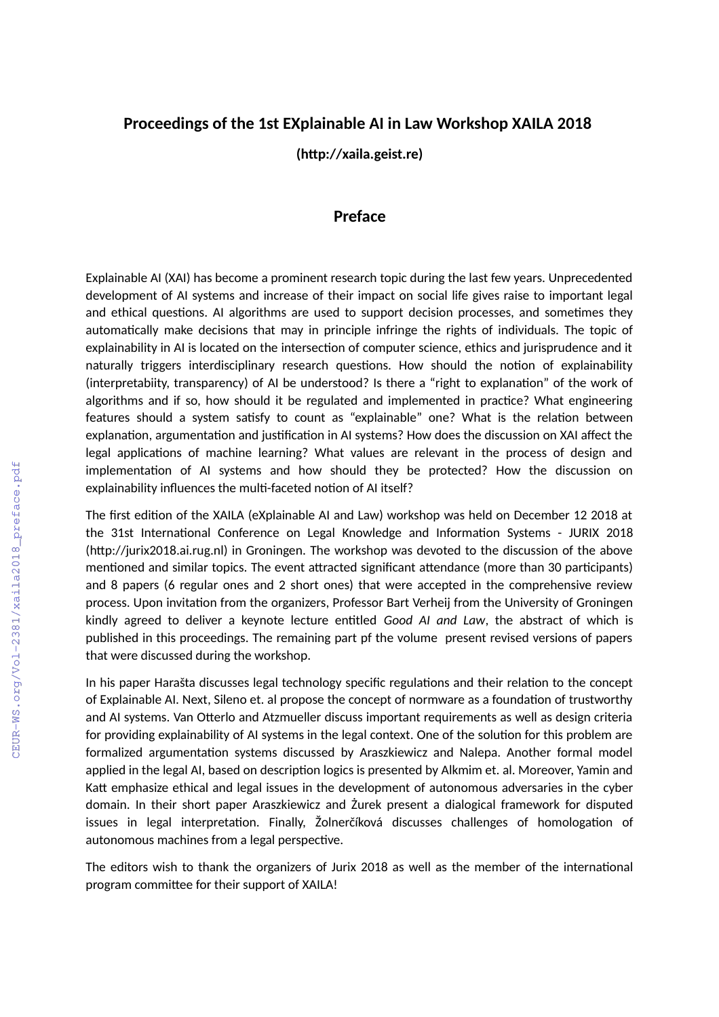## **Proceedings of the 1st EXplainable AI in Law Workshop XAILA 2018**

**(http://xaila.geist.re)**

## **Preface**

Explainable AI (XAI) has become a prominent research topic during the last few years. Unprecedented development of AI systems and increase of their impact on social life gives raise to important legal and ethical questions. AI algorithms are used to support decision processes, and sometimes they automatically make decisions that may in principle infringe the rights of individuals. The topic of explainability in AI is located on the intersection of computer science, ethics and jurisprudence and it naturally triggers interdisciplinary research questions. How should the notion of explainability (interpretabiity, transparency) of AI be understood? Is there a "right to explanation" of the work of algorithms and if so, how should it be regulated and implemented in practice? What engineering features should a system satisfy to count as "explainable" one? What is the relation between explanation, argumentation and justification in AI systems? How does the discussion on XAI affect the legal applications of machine learning? What values are relevant in the process of design and implementation of AI systems and how should they be protected? How the discussion on explainability influences the multi-faceted notion of AI itself?

The first edition of the XAILA (eXplainable AI and Law) workshop was held on December 12 2018 at the 31st International Conference on Legal Knowledge and Information Systems - JURIX 2018 (http://jurix2018.ai.rug.nl) in Groningen. The workshop was devoted to the discussion of the above mentioned and similar topics. The event attracted significant attendance (more than 30 participants) and 8 papers (6 regular ones and 2 short ones) that were accepted in the comprehensive review process. Upon invitation from the organizers, Professor Bart Verheij from the University of Groningen kindly agreed to deliver a keynote lecture entitled *Good AI and Law*, the abstract of which is published in this proceedings. The remaining part pf the volume present revised versions of papers that were discussed during the workshop.

In his paper Harašta discusses legal technology specific regulations and their relation to the concept of Explainable AI. Next, Sileno et. al propose the concept of normware as a foundation of trustworthy and AI systems. Van Otterlo and Atzmueller discuss important requirements as well as design criteria for providing explainability of AI systems in the legal context. One of the solution for this problem are formalized argumentation systems discussed by Araszkiewicz and Nalepa. Another formal model applied in the legal AI, based on description logics is presented by Alkmim et. al. Moreover, Yamin and Katt emphasize ethical and legal issues in the development of autonomous adversaries in the cyber domain. In their short paper Araszkiewicz and Żurek present a dialogical framework for disputed issues in legal interpretation. Finally, Žolnerčíková discusses challenges of homologation of autonomous machines from a legal perspective.

The editors wish to thank the organizers of Jurix 2018 as well as the member of the international program committee for their support of XAILA!